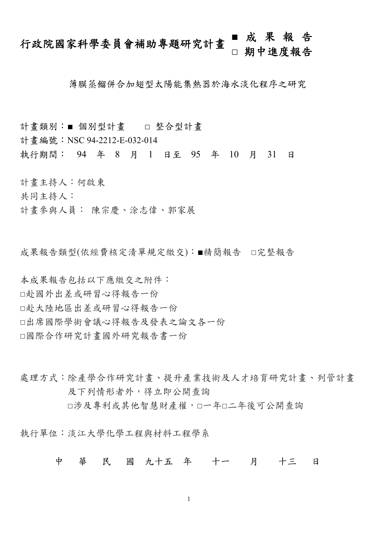# 行政院國家科學委員會補助專題研究計畫 **■** 成果報告 **□** 期中進度報告

薄膜蒸餾併合加翅型太陽能集熱器於海水淡化程序之研究

計畫類別:■ 個別型計畫 □ 整合型計畫

計書編號: NSC 94-2212-E-032-014

執行期間: 94 年 8 月 1 日至 95 年 10 月 31 日

計畫主持人:何啟東

共同主持人:

計畫參與人員: 陳宗慶、涂志偉、郭家展

成果報告類型(依經費核定清單規定繳交):■精簡報告 □完整報告

本成果報告包括以下應繳交之附件: □赴國外出差或研習心得報告一份 □赴大陸地區出差或研習心得報告一份 □出席國際學術會議心得報告及發表之論文各一份 □國際合作研究計畫國外研究報告書一份

處理方式:除產學合作研究計書、提升產業技術及人才培育研究計書、列管計書 及下列情形者外,得立即公開查詢 □涉及專利或其他智慧財產權,□一年□二年後可公開查詢

執行單位:淡江大學化學工程與材料工程學系

中 華 民 國 九十五 年 十一 月 十三 日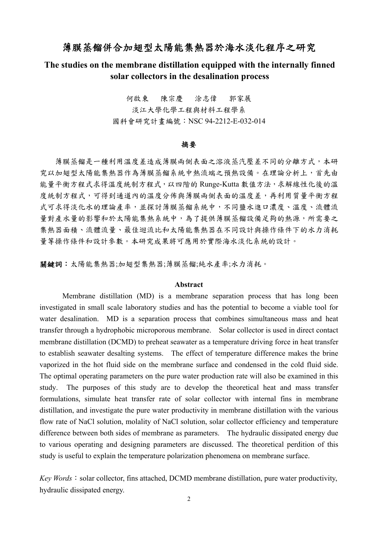# 薄膜蒸餾併合加翅型太陽能集熱器於海水淡化程序之研究

## **The studies on the membrane distillation equipped with the internally finned solar collectors in the desalination process**

何啟東 陳宗慶 涂志偉 郭家展 淡江大學化學工程與材料工程學系 國科會研究計畫編號:NSC 94-2212-E-032-014

#### 摘要

薄膜蒸餾是一種利用溫度差造成薄膜兩側表面之溶液蒸汽壓差不同的分離方式,本研 究以加翅型太陽能集熱器作為薄膜蒸餾系統中熱流端之預熱設備。在理論分析上,首先由 能量平衡方程式求得溫度統制方程式,以四階的 Runge-Kutta 數值方法,求解線性化後的溫 度統制方程式,可得到通道內的溫度分佈與薄膜兩側表面的溫度差,再利用質量平衡方程 式可求得淡化水的理論產率,並探討薄膜蒸餾系統中,不同鹽水進口濃度、溫度、流體流 量對產水量的影響和於太陽能集熱系統中,為了提供薄膜蒸餾設備足夠的熱源,所需要之 集熱器面積、流體流量、最佳迴流比和太陽能集熱器在不同設計與操作條件下的水力消耗 量等操作條件和設計參數。本研究成果將可應用於實際海水淡化系統的設計。

關鍵詞:太陽能集熱器;加翅型集熱器;薄膜蒸餾;純水產率;水力消耗。

#### **Abstract**

Membrane distillation (MD) is a membrane separation process that has long been investigated in small scale laboratory studies and has the potential to become a viable tool for water desalination. MD is a separation process that combines simultaneous mass and heat transfer through a hydrophobic microporous membrane. Solar collector is used in direct contact membrane distillation (DCMD) to preheat seawater as a temperature driving force in heat transfer to establish seawater desalting systems. The effect of temperature difference makes the brine vaporized in the hot fluid side on the membrane surface and condensed in the cold fluid side. The optimal operating parameters on the pure water production rate will also be examined in this study. The purposes of this study are to develop the theoretical heat and mass transfer formulations, simulate heat transfer rate of solar collector with internal fins in membrane distillation, and investigate the pure water productivity in membrane distillation with the various flow rate of NaCl solution, molality of NaCl solution, solar collector efficiency and temperature difference between both sides of membrane as parameters. The hydraulic dissipated energy due to various operating and designing parameters are discussed. The theoretical perdition of this study is useful to explain the temperature polarization phenomena on membrane surface.

 $Key Words: solar collector, fins attached, DCMD membrane distillation, pure water productivity,$ hydraulic dissipated energy.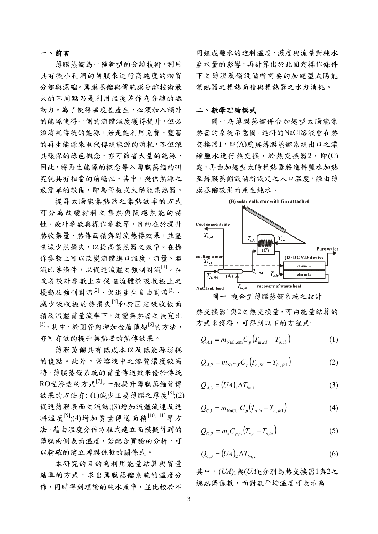### 一、前言

薄膜蒸餾為一種新型的分離技術,利用 具有微小孔洞的薄膜來進行高純度的物質 分離與濃縮。薄膜蒸餾與傳統膜分離技術最 大的不同點乃是利用溫度差作為分離的驅 動力。為了使得溫度差產生,必須加入額外 的能源使得一側的流體溫度獲得提升,但必 須消耗傳統的能源,若是能利用免費、豐富 的再生能源來取代傳統能源的消耗,不但深 具環保的綠色概念,亦可節省大量的能源, 因此,將再生能源的概念導入薄膜蒸餾的研 究就具有相當的前瞻性。其中,提供熱源之 最簡單的設備,即為管板式太陽能集熱器。

提昇太陽能集熱器之集熱效率的方式 可分為改變材料之集熱與隔絕熱能的特 性、設計參數與操作參數等,目的在於提升 熱收集量、熱傳面積與對流熱傳效果,並盡 量減少熱損失,以提高集熱器之效率。在操 作參數上可以改變流體進口溫度、流量、迴 流比等條件,以促進流體之強制對流[1]。在 改善設計參數上有促進流體於吸收板上之 擾動及強制對流<sup>[2]、</sup>促進產生自由對流<sup>[3]、</sup> 減少吸收板的熱損失[4]和於固定吸收板面 積及流體質量流率下,改變集熱器之長寬比 [5],其中,於圓管內增加金屬薄翅<sup>[6]</sup>的方法, 亦可有效的提升集熱器的熱傳效果。

 薄膜蒸餾具有低成本以及低能源消耗 的優點。此外,當溶液中之溶質濃度較高 時,薄膜蒸餾系統的質量傳送效果優於傳統 RO逆滲透的方式[7]。一般提升薄膜蒸餾質傳 效果的方法有: (1)減少主要薄膜之厚度[8];(2) 促進薄膜表面之流動;(3)增加流體流速及進 料溫度<sup>[9]</sup>;(4)增加質量傳送面積<sup>[10, 11</sup>]等方 法,藉由溫度分佈方程式建立而模擬得到的 薄膜兩側表面溫度,若配合實驗的分析,可 以精確的建立薄膜係數的關係式。

 本研究的目的為利用能量結算與質量 結算的方式,求出薄膜蒸餾系統的溫度分 佈,同時得到理論的純水產率,並比較於不

同組成鹽水的進料溫度、濃度與流量對純水 產水量的影響,再計算出於此固定操作條件 下之薄膜蒸餾設備所需要的加翅型太陽能 集熱器之集熱面積與集熱器之水力消耗。

#### 二、數學理論模式

 圖一為薄膜蒸餾併合加翅型太陽能集 熱器的系統示意圖,進料的NaCl溶液會在熱 交換器1,即(A)處與薄膜蒸餾系統出口之濃 縮鹽水進行熱交換,於熱交換器2,即(C) 處,再由加翅型太陽集熱器將進料鹽水加熱 至薄膜蒸餾設備所設定之入口溫度,經由薄 膜蒸餾設備而產生純水。



熱交換器1與2之熱交換量,可由能量結算的 方式來獲得,可得到以下的方程式:

$$
Q_{A,1} = m_{\text{NaCl,om}} C_p (T_{in,cd} - T_{o,cb})
$$
 (1)

$$
Q_{A,2} = m_{\text{NaCl,f}} C_p \left( T_{o,fb1} - T_{in,fb1} \right) \tag{2}
$$

$$
Q_{A,3} = (UA)_1 \Delta T_{lm,1} \tag{3}
$$

$$
Q_{C,1} = m_{\text{NaCl,f}} C_p \left( T_{a,in} - T_{o,fb1} \right) \tag{4}
$$

$$
Q_{C,2} = m_s C_{p,w} (T_{s,o} - T_{s,in})
$$
 (5)

$$
Q_{C,3} = (UA)_2 \Delta T_{lm,2} \tag{6}
$$

其中,(*UA*)1與(*UA*)2分別為熱交換器1與2之 總熱傳係數,而對數平均溫度可表示為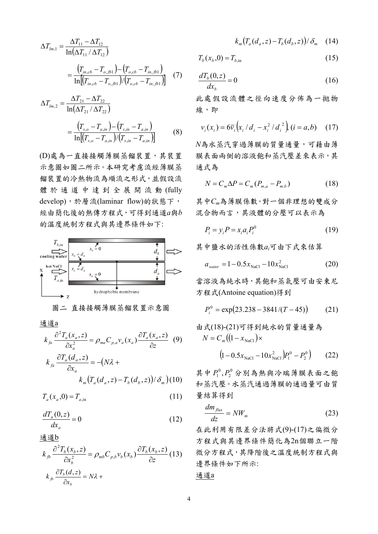$$
\Delta T_{lm,1} = \frac{\Delta T_{11} - \Delta T_{12}}{\ln(\Delta T_{11} / \Delta T_{12})}
$$
  
= 
$$
\frac{(T_{in,cb} - T_{o,fb1}) - (T_{o,cb} - T_{in,fb1})}{\ln[(T_{in,cb} - T_{o,fb1}) / (T_{o,cb} - T_{in,fb1})]}
$$
(7)

$$
\Delta T_{lm,2} = \frac{\Delta T_{21} - \Delta T_{22}}{\ln(\Delta T_{21} / \Delta T_{22})}
$$
  
= 
$$
\frac{(T_{s,o} - T_{a,in}) - (T_{s,in} - T_{a,in})}{\ln[(T_{s,o} - T_{a,in}) / (T_{s,in} - T_{a,in})]}
$$
(8)

(D)處為一直接接觸薄膜蒸餾裝置,其裝置 示意圖如圖二所示。本研究考慮流經薄膜蒸 餾裝置的冷熱物流為順流之形式,並假設流 體於通道中達到全展開流動 (fully develop),於層流(laminar flow)的狀態下, 經由簡化後的熱傳方程式,可得到通道*a*與*b* 的溫度統制方程式與其邊界條件如下:





通道a

$$
k_{fa} \frac{\partial^2 T_a(x_a, z)}{\partial x_a^2} = \rho_{ma} C_{p,a} v_a(x_a) \frac{\partial T_a(x_a, z)}{\partial z} \quad (9)
$$
  

$$
k_{fa} \frac{\partial T_a(d_a, z)}{\partial x_a} = -(N\lambda +
$$
  

$$
k_m (T_a(d_a, z) - T_b(d_b, z)) / \delta_m) (10)
$$

$$
T_a(x_a,0) = T_{a,\text{in}} \tag{11}
$$

$$
\frac{dT_a(0,z)}{dx_a} = 0\tag{12}
$$

通道b

$$
k_{fb} \frac{\partial^2 T_b(x_b, z)}{\partial x_b^2} = \rho_{mb} C_{p,b} v_b(x_b) \frac{\partial T_b(x_b, z)}{\partial z} (13)
$$
  

$$
k_{fb} \frac{\partial T_b(d, z)}{\partial x_b} = N\lambda +
$$

$$
k_m\big(T_a(d_a, z) - T_b(d_b, z)\big)/\delta_m \quad (14)
$$

$$
T_b(x_b, 0) = T_{b, \text{in}} \tag{15}
$$

$$
\frac{dT_b(0,z)}{dx_b} = 0\tag{16}
$$

此處假設流體之徑向速度分佈為一拋物 線,即

$$
v_i(x_i) = 6\overline{v}_i(x_i/d_i - x_i^2/d_i^2), (i = a, b)
$$
 (17)

*N*為水蒸汽穿過薄膜的質量通量,可藉由薄 膜表面兩側的溶液飽和蒸汽壓差來表示,其 通式為

$$
N = C_m \Delta P = C_m (P_{m,a} - P_{m,b})
$$
 (18)

其中*Cm*為薄膜係數。對一個非理想的雙成分 混合物而言,其液體的分壓可以表示為

$$
P_i = y_i P = x_i a_i P_i^0 \tag{19}
$$

其中鹽水的活性係數*ai*可由下式來估算

$$
a_{\text{water}} = 1 - 0.5x_{\text{NaCl}} - 10x_{\text{NaCl}}^2 \tag{20}
$$

當溶液為純水時,其飽和蒸氣壓可由安東尼 方程式(Antoine equation)得到

$$
P_i^0 = \exp(23.238 - 3841/(T - 45))
$$
 (21)

由式(18)-(21)可得到絵水的質量通量為
$$
N = C_m \left( (1 - x_{\text{NaCl}}) \times \left( 1 - 0.5 x_{\text{NaCl}} - 10 x_{\text{NaCl}}^2 \right) P_1^0 - P_2^0 \right) \tag{22}
$$

其中 $P_1^0$ , $P_2^0$ 分別為熱與冷端薄膜表面之飽 和蒸汽壓。水蒸汽通過薄膜的通過量可由質 量結算得到 2  $P^0_1, P^0_2$ 

$$
\frac{dm_{flux}}{dz} = NW_m \tag{23}
$$

在此利用有限差分法將式(9)-(17)之偏微分 方程式與其邊界條件簡化為2n個聯立一階 微分方程式,其降階後之溫度統制方程式與 邊界條件如下所示:

$$
\underline{\text{if if }a}
$$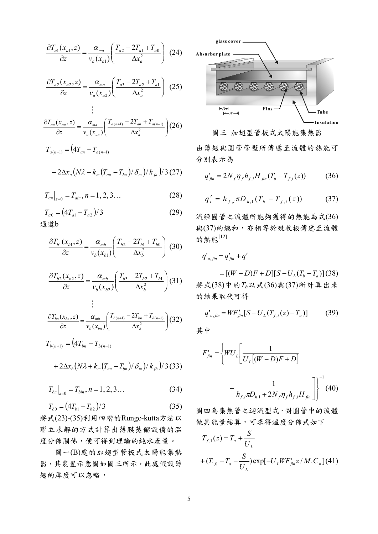$$
\frac{\partial T_{a1}(x_{a1}, z)}{\partial z} = \frac{\alpha_{ma}}{v_a(x_{a1})} \left( \frac{T_{a2} - 2T_{a1} + T_{a0}}{\Delta x_a^2} \right) (24)
$$

$$
\frac{\partial T_{a2}(x_{a2}, z)}{\partial z} = \frac{\alpha_{ma}}{v_a(x_{a2})} \left( \frac{T_{a3} - 2T_{a2} + T_{a1}}{\Delta x_a^2} \right) (25)
$$

M

$$
\frac{\partial T_{an}(x_{an}, z)}{\partial z} = \frac{\alpha_{ma}}{v_a(x_{an})} \left( \frac{T_{a(n+1)} - 2T_{an} + T_{a(n-1)}}{\Delta x_a^2} \right)
$$
(26)  

$$
T_{a(n+1)} = \left( 4T_{an} - T_{a(n-1)} \right)
$$

$$
-2\Delta x_a\big(N\lambda+k_m\big(T_{an}-T_{bn}\big)/\delta_m\big)/k_{fa}\big)/3\,(27)
$$

$$
T_{an}|_{z=0} = T_{ain}, n = 1, 2, 3... \tag{28}
$$

$$
T_{a0} = (4T_{a1} - T_{a2})/3
$$
 (29)

$$
\frac{\partial T_{b1}(x_{b1}, z)}{\partial z} = \frac{\alpha_{mb}}{v_b(x_{b1})} \left( \frac{T_{b2} - 2T_{b1} + T_{b0}}{\Delta x_b^2} \right) (30)
$$

$$
\frac{\partial T_{b2}(x_{b2}, z)}{\partial z} = \frac{\alpha_{mb}}{v_b(x_{b2})} \left( \frac{T_{b3} - 2T_{b2} + T_{b1}}{\Delta x_b^2} \right) (31)
$$
  
...

$$
\frac{\partial T_{bn}(x_{bn}, z)}{\partial z} = \frac{\alpha_{mb}}{v_b(x_{bn})} \left( \frac{T_{b(n+1)} - 2T_{bn} + T_{b(n-1)}}{\Delta x_b^2} \right) (32)
$$

$$
T_{b(n+1)} = (4T_{bn} - T_{b(n-1)} + 2\Delta x_b (N\lambda + k_m (T_{an} - T_{bn})/\delta_m)/k_b)/3(33)
$$

$$
T_{bn}\big|_{z=0} = T_{bin}, n = 1, 2, 3... \tag{34}
$$

$$
T_{b0} = (4T_{b1} - T_{b2})/3 \tag{35}
$$

將式(23)-(35)利用四階的Runge-kutta方法以 聯立求解的方式計算出薄膜蒸餾設備的溫 度分佈關係,便可得到理論的純水產量。

 圖一(B)處的加翅型管板式太陽能集熱 器,其裝置示意圖如圖三所示,此處假設薄 翅的厚度可以忽略,



圖三 加翅型管板式太陽能集熱器 由薄翅與圓管管壁所傳遞至流體的熱能可 分別表示為

$$
q'_{\hat{j}n} = 2N_f \eta_f h_{f,i} H_{\hat{j}n} (T_b - T_{f,i}(z)) \tag{36}
$$

$$
q'_{t} = h_{f,i} \pi D_{h,1} (T_b - T_{f,i}(z)) \tag{37}
$$

流經圓管之流體所能夠獲得的熱能為式(36) 與(37)的總和,亦相等於吸收板傳遞至流體 的熱能[12]

$$
q'_{u,fin}=q'_{fin}+q'
$$

 $=[(W-D)F+D][S-U<sub>I</sub>(T<sub>b</sub>-T<sub>a</sub>)](38)$ 將式(38)中的*Tb*以式(36)與(37)所計算出來 的結果取代可得

$$
q'_{u,fin} = WF'_{fin}[S - U_L(T_{f,i}(z) - T_a)]
$$
 (39)

其中

$$
F'_{fin} = \left\{ WU_L \left[ \frac{1}{U_L [(W - D)F + D]} + \frac{1}{h_{f,i} \pi D_{h,1} + 2N_f \eta_f h_{f,i} H_{fin}} \right] \right\}^{-1} (40)
$$

圖四為集熱管之迴流型式,對圓管中的流體 做其能量結算,可求得溫度分佈式如下

$$
T_{f,1}(z) = T_a + \frac{S}{U_L}
$$
  
+  $(T_{1,0} - T_a - \frac{S}{U_L}) \exp[-U_L W F'_{fin} z / M_1 C_p](41)$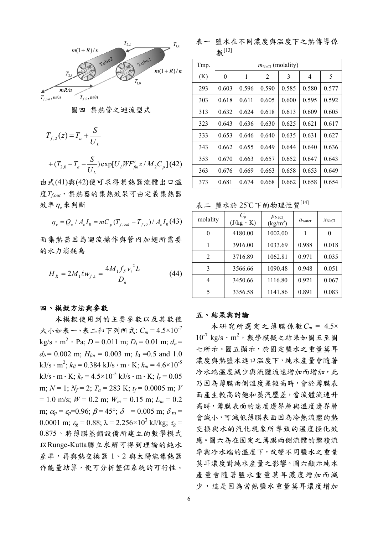

圖四 集熱管之迴流型式

$$
T_{f,2}(z) = T_a + \frac{S}{U_L}
$$

+ 
$$
(T_{2,0} - T_a - \frac{S}{U_L}) \exp[U_L W F'_{fin} z / M_2 C_p]
$$
 (42)

由式(41)與(42)便可求得集熱器流體出口溫 度*Tf,out*,集熱器的集熱效果可由定義集熱器 效率<sup>η</sup>*e*來判斷

$$
\eta_e = Q_u / A_c I_0 = m C_p (T_{f, \text{out}} - T_{f, 0}) / A_c I_0 (43)
$$

而集熱器因為迴流操作與管內加翅所需要 的水力消耗為

$$
H_R = 2M_1 \ell w_{f,1} = \frac{4M_1 f_F v_i^2 L}{D_h}
$$
 (44)

#### 四、模擬方法與參數

 本模擬使用到的主要參數以及其數值 大小如表一、表二和下列所式: *Cm* = 4.5×10-7  $kg/s \cdot m^2 \cdot Pa$ ; *D* = 0.011 m; *D<sub>i</sub>* = 0.01 m; *d<sub>a</sub>* =  $d_b$  = 0.002 m;  $H_{fin}$  = 0.003 m;  $I_0$  = 0.5 and 1.0  $kJ/s \cdot m^2$ ;  $k_{fl} = 0.384$  kJ/s  $\cdot$  m  $\cdot$  K;  $k_m = 4.6 \times 10^{-5}$ kJ/s · m · K;  $k_s = 4.5 \times 10^{-5}$  kJ/s · m · K;  $l_s = 0.05$ m;  $N = 1$ ;  $N_f = 2$ ;  $T_a = 283$  K;  $t_f = 0.0005$  m; *V*  $= 1.0$  m/s;  $W = 0.2$  m;  $W_m = 0.15$  m;  $L_m = 0.2$ m;  $\alpha_p = \varepsilon_p = 0.96$ ;  $\beta = 45^\circ$ ;  $\delta = 0.005$  m;  $\delta_m =$ 0.0001 m;  $\varepsilon_g = 0.88$ ;  $\lambda = 2.256 \times 10^3$  kJ/kg;  $\tau_g =$ 0.875。將薄膜蒸餾設備所建立的數學模式 以Runge-Kutta聯立求解可得到理論的純水 產率,再與熱交換器 1、2 與太陽能集熱器 作能量結算,便可分析整個系統的可行性。

表一 鹽水在不同濃度與溫度下之熱傳導係 數[13]

| Tmp. | $m_{\text{NaCl}}$ (molality) |       |                |       |       |       |
|------|------------------------------|-------|----------------|-------|-------|-------|
| (K)  | $\overline{0}$               | 1     | $\overline{2}$ | 3     | 4     | 5     |
| 293  | 0.603                        | 0.596 | 0.590          | 0.585 | 0.580 | 0.577 |
| 303  | 0.618                        | 0.611 | 0.605          | 0.600 | 0.595 | 0.592 |
| 313  | 0.632                        | 0.624 | 0.618          | 0.613 | 0.609 | 0.605 |
| 323  | 0.643                        | 0.636 | 0.630          | 0.625 | 0.621 | 0.617 |
| 333  | 0.653                        | 0.646 | 0.640          | 0.635 | 0.631 | 0.627 |
| 343  | 0.662                        | 0.655 | 0.649          | 0.644 | 0.640 | 0.636 |
| 353  | 0.670                        | 0.663 | 0.657          | 0.652 | 0.647 | 0.643 |
| 363  | 0.676                        | 0.669 | 0.663          | 0.658 | 0.653 | 0.649 |
| 373  | 0.681                        | 0.674 | 0.668          | 0.662 | 0.658 | 0.654 |

表二 鹽水於 25℃下的物理性質[14]

| molality | $C_p$<br>$(J/kg \cdot K)$ | $\rho_{\text{NaCl}}$<br>$(kg/m^3)$ | $a_{\text{water}}$ | $x_{\text{NaCl}}$ |
|----------|---------------------------|------------------------------------|--------------------|-------------------|
| 0        | 4180.00                   | 1002.00                            |                    | 0                 |
|          | 3916.00                   | 1033.69                            | 0.988              | 0.018             |
| 2        | 3716.89                   | 1062.81                            | 0.971              | 0.035             |
| 3        | 3566.66                   | 1090.48                            | 0.948              | 0.051             |
| 4        | 3450.66                   | 1116.80                            | 0.921              | 0.067             |
| 5        | 3356.58                   | 1141.86                            | 0.891              | 0.083             |

#### 五、結果與討論

 本研究所選定之薄膜係數*Cm* = 4.5×  $10^{-7}$  kg/s · m<sup>2</sup>, 數學模擬之結果如圖五至圖 七所示。圖五顯示,於固定鹽水之重量莫耳 濃度與熱鹽水進口溫度下,純水產量會隨著 冷水端溫度減少與流體流速增加而增加,此 乃因為薄膜兩側溫度差較高時,會於薄膜表 面產生較高的飽和蒸汽壓差,當流體流速升 高時,薄膜表面的速度邊界層與溫度邊界層 會減小,可減低薄膜表面因為冷熱流體的熱 交換與水的汽化現象所導致的溫度極化效 應。圖六為在固定之薄膜兩側流體的體積流 率與冷水端的溫度下,改變不同鹽水之重量 莫耳濃度對純水產量之影響。圖六顯示純水 產量會隨著鹽水重量莫耳濃度增加而減 少,這是因為當熱鹽水重量莫耳濃度增加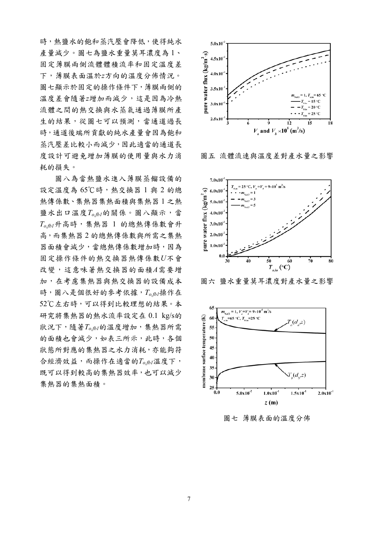時,熱鹽水的飽和蒸汽壓會降低,使得純水 產量減少。圖七為鹽水重量莫耳濃度為 1、 固定薄膜兩側流體體積流率和固定溫度差 下,薄膜表面溫於*z*方向的溫度分佈情況。 圖七顯示於固定的操作條件下,薄膜兩側的 溫度差會隨著*z*增加而減少,這是因為冷熱 流體之間的熱交換與水蒸氣通過薄膜所產 生的結果,從圖七可以預測,當通道過長 時,通道後端所貢獻的純水產量會因為飽和 蒸汽壓差比較小而減少,因此適當的通道長 度設計可避免增加薄膜的使用量與水力消 耗的損失。

 圖八為當熱鹽水進入薄膜蒸餾設備的 設定溫度為 65℃時,熱交換器 1 與 2 的總 熱傳係數、集熱器集熱面積與集熱器 1 之熱 鹽水出口溫度 $T_{o,fb}$ *的關係。圖八顯示,當 To,fb1*升高時,集熱器 1 的總熱傳係數會升 高,而集熱器 2 的總熱傳係數與所需之集熱 器面積會減少,當總熱傳係數增加時,因為 固定操作條件的熱交換器熱傳係數*U*不會 改變,這意味著熱交換器的面積*A*需要增 加,在考慮集熱器與熱交換器的設備成本 時,圖八是個很好的參考依據,*To,fb1*操作在 52℃左右時,可以得到比較理想的結果。本 研究將集熱器的熱水流率設定在 0.1 kg/s的 狀況下,隨著*To,fb1*的溫度增加,集熱器所需 的面積也會減少,如表三所示,此時,各個 狀態所對應的集熱器之水力消耗,亦能夠符 合經濟效益,而操作在適當的*To,fb1*溫度下, 既可以得到較高的集熱器效率,也可以減少 集熱器的集熱面積。



圖五 流體流速與溫度差對產水量之影響



圖六 鹽水重量莫耳濃度對產水量之影響



圖七 薄膜表面的溫度分佈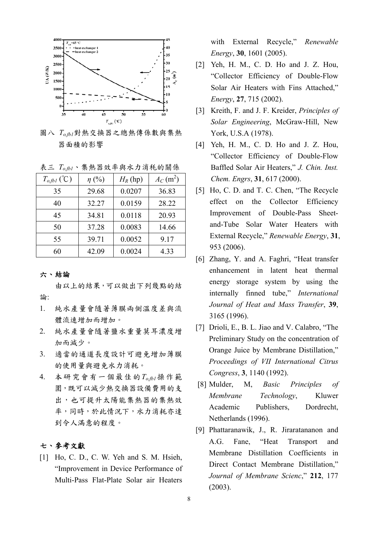

圖八 *To,fb1*對熱交換器之總熱傳係數與集熱 器面積的影響

表三 *To,fb1*、集熱器效率與水力消秏的關係

| $T_{o,fb1}$ (°C) | $\eta$ (%) | $H_R$ (hp) | $A_C(m^2)$ |
|------------------|------------|------------|------------|
| 35               | 29.68      | 0.0207     | 36.83      |
| 40               | 32.27      | 0.0159     | 28.22      |
| 45               | 34.81      | 0.0118     | 20.93      |
| 50               | 37.28      | 0.0083     | 14.66      |
| 55               | 39.71      | 0.0052     | 9.17       |
| 60               | 42.09      | 0.0024     | 4.33       |

#### 六、結論

 由以上的結果,可以做出下列幾點的結 論:

- 1. 純水產量會隨著薄膜兩側溫度差與流 體流速增加而增加。
- 2. 純水產量會隨著鹽水重量莫耳濃度增 加而減少。
- 3. 適當的通道長度設計可避免增加薄膜 的使用量與避免水力消耗。
- 4. 本研究會有一個最佳的*To,fb1*操作範 圍,既可以減少熱交換器設備費用的支 出,也可提升太陽能集熱器的集熱效 率,同時,於此情況下,水力消耗亦達 到令人滿意的程度。

### 七、參考文獻

[1] Ho, C. D., C. W. Yeh and S. M. Hsieh, "Improvement in Device Performance of Multi-Pass Flat-Plate Solar air Heaters

with External Recycle," *Renewable Energy*, **30**, 1601 (2005).

- [2] Yeh, H. M., C. D. Ho and J. Z. Hou, "Collector Efficiency of Double-Flow Solar Air Heaters with Fins Attached," *Energy*, **27**, 715 (2002).
- [3] Kreith, F. and J. F. Kreider, *Principles of Solar Engineering*, McGraw-Hill, New York, U.S.A (1978).
- [4] Yeh, H. M., C. D. Ho and J. Z. Hou, "Collector Efficiency of Double-Flow Baffled Solar Air Heaters," *J. Chin. Inst. Chem. Engrs*, **31**, 617 (2000).
- [5] Ho, C. D. and T. C. Chen, "The Recycle effect on the Collector Efficiency Improvement of Double-Pass Sheetand-Tube Solar Water Heaters with External Recycle," *Renewable Energy*, **31**, 953 (2006).
- [6] Zhang, Y. and A. Faghri, "Heat transfer enhancement in latent heat thermal energy storage system by using the internally finned tube," *International Journal of Heat and Mass Transfer*, **39**, 3165 (1996).
- [7] Drioli, E., B. L. Jiao and V. Calabro, "The Preliminary Study on the concentration of Orange Juice by Membrane Distillation," *Proceedings of VII International Citrus Congress*, **3**, 1140 (1992).
- [8] Mulder, M, *Basic Principles of Membrane Technology*, Kluwer Academic Publishers, Dordrecht, Netherlands (1996).
- [9] Phattaranawik, J., R. Jiraratananon and A.G. Fane, "Heat Transport and Membrane Distillation Coefficients in Direct Contact Membrane Distillation," *Journal of Membrane Scienc*," **212**, 177 (2003).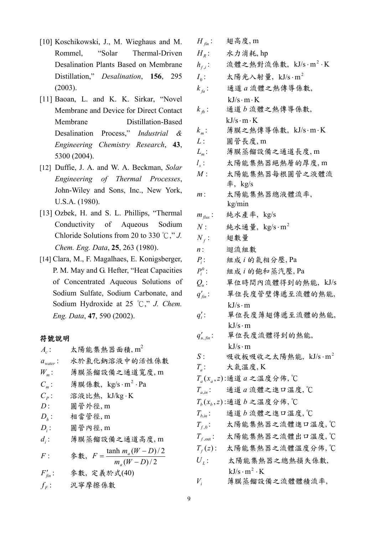- [10] Koschikowski, J., M. Wieghaus and M. Rommel, "Solar Thermal-Driven Desalination Plants Based on Membrane Distillation," *Desalination*, **156**, 295 (2003).
- [11] Baoan, L. and K. K. Sirkar, "Novel Membrane and Device for Direct Contact Membrane Distillation-Based Desalination Process," *Industrial & Engineering Chemistry Research*, **43**, 5300 (2004).
- [12] Duffie, J. A. and W. A. Beckman, *Solar Engineering of Thermal Processes*, John-Wiley and Sons, Inc., New York, U.S.A. (1980).
- [13] Ozbek, H. and S. L. Phillips, "Thermal Conductivity of Aqueous Sodium Chloride Solutions from 20 to 330 ℃," *J. Chem. Eng. Data*, **25**, 263 (1980).
- [14] Clara, M., F. Magalhaes, E. Konigsberger, P. M. May and G. Hefter, "Heat Capacities of Concentrated Aqueous Solutions of Sodium Sulfate, Sodium Carbonate, and Sodium Hydroxide at 25 ℃," *J. Chem. Eng. Data*, **47**, 590 (2002).

#### 符號說明

| $A_c$ :              | 太陽能集熱器面積, $m^2$                                         |
|----------------------|---------------------------------------------------------|
| $a_{\text{water}}$ : | 水於氯化鈉溶液中的活性係數                                           |
| $W_{m}$ :            | 薄膜蒸餾設備之通道寬度,m                                           |
| $C_{m}$ :            | 薄膜係數, kg/s·m <sup>2</sup> ·Pa                           |
| $C_p$ :              | 溶液比熱, kJ/kg·K                                           |
| $D$ :                | 圓管外徑, m                                                 |
| $D_{h}$ :            | 相當管徑,m                                                  |
| $D_i$ :              | 圓管內徑, m                                                 |
| $d_i$ :              | 薄膜蒸餾設備之通道高度,m                                           |
| F:                   | 参數, $F = \frac{\tanh m_a (W - D)}{2}$<br>$m_{a}(W-D)/2$ |
| $F'_{fin}$ :         | 參數, 定義於式(40)                                            |
| $f_F$ :              | 汎寧摩擦係數                                                  |

| $H_{\mathit{fin}}$ : | 翅高度,m                                            |
|----------------------|--------------------------------------------------|
| $H_{R}$ :            | 水力消耗, hp                                         |
| $h_{f,i}$ :          | 流體之熱對流係數, kJ/s·m <sup>2</sup> ·K                 |
| $I_0$ :              | 太陽光入射量, $kJ/s \cdot m^2$                         |
| $k_{fa}$ :           | 通道a流體之熱傳導係數,                                     |
|                      | $kJ/s \cdot m \cdot K$                           |
| $k_{fb}$ :           | 通道b流體之熱傳導係數,                                     |
|                      | $kJ/s \cdot m \cdot K$                           |
| $k_{m}$ :            | 薄膜之熱傳導係數,kJ/s·m·K                                |
| L:                   | 圓管長度,m                                           |
| $L_m$ :              | 薄膜蒸餾設備之通道長度,m                                    |
| $l_{\rm s}$ :        | 太陽能集熱器絕熱層的厚度,m                                   |
| M:                   | 太陽能集熱器每根圓管之液體流                                   |
|                      | 率, kg/s                                          |
| $m$ :                | 太陽能集熱器總液體流率,<br>kg/min                           |
| $m_{\text{flux}}$ :  | 純水產率, kg/s                                       |
| $N$ :                | 純水通量, $\text{kg/s} \cdot \text{m}^2$             |
| $N_f$ :              | 翅數量                                              |
| $n$ :                | 迴流組數                                             |
| $P_i$ :              | 組成i的氣相分壓,Pa                                      |
| $P_i^0$ :            | 組成i的飽和蒸汽壓,Pa                                     |
| $Q_u$ :              | 單位時間內流體得到的熱能, kJ/s                               |
| $q'_{fin}$ :         | 單位長度管璧傳遞至流體的熱能,                                  |
|                      | $kJ/s \cdot m$                                   |
|                      |                                                  |
| $q_t'$ :             | 單位長度薄翅傳遞至流體的熱能,                                  |
|                      | $kJ/s \cdot m$                                   |
| $q'_{u,fin}$ :       | 單位長度流體得到的熱能,                                     |
|                      | $kJ/s \cdot m$                                   |
| S:                   | 吸收板吸收之太陽熱能, kJ/s·m <sup>2</sup>                  |
| $T_a$ :              | 大氣溫度,K                                           |
|                      | $T_a(x_a, z)$ :通道 a 之溫度分佈, ℃                     |
| $T_{a,in}$ :         | 通道a流體之進口溫度, C                                    |
|                      | $T_h(x_h, z)$ :通道b之溫度分佈, $\mathbb C$             |
| $T_{h,in}$ :         | 通道b流體之進口溫度,℃                                     |
| $T_{f,0}$ :          | 太陽能集熱器之流體進口溫度,℃                                  |
|                      | $T_{f,\text{out}}$ : 太陽能集熱器之流體出口溫度, $^{\circ}$ C |
|                      | $T_f(z)$ : 太陽能集熱器之流體溫度分佈, °C                     |
| $U_{L}$ :            | 太陽能集熱器之總熱損失係數,<br>$kJ/s \cdot m^2 \cdot K$       |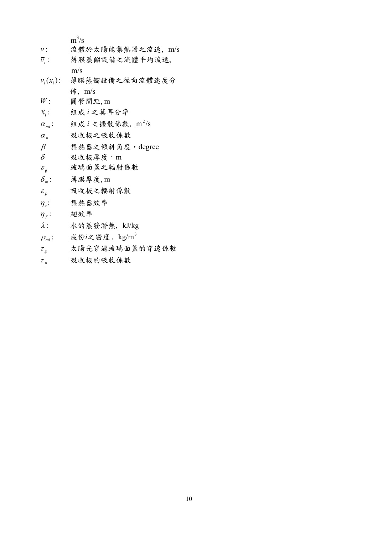|                                   | $m^3/s$                         |
|-----------------------------------|---------------------------------|
| $\boldsymbol{\nu}$ :              | 流體於太陽能集熱器之流速, m/s               |
| $\overline{\mathcal{V}}_i$ :      | 薄膜蒸餾設備之流體平均流速,                  |
|                                   | m/s                             |
| $v_i(x_i)$ :                      | 薄膜蒸餾設備之徑向流體速度分                  |
|                                   | m/s                             |
| W:                                | 圓管間距, m                         |
| $x_i$ :                           | 組成 i 之莫耳分率                      |
| $\alpha_{\rm m}$ :                | 組成 $i$ 之擴散係數, m <sup>2</sup> /s |
| $\alpha_{v}$                      | 吸收板之吸收係數                        |
| $\beta$                           | 集熱器之傾斜角度, degree                |
| $\delta$                          | 吸收板厚度,m                         |
| $\varepsilon_{g}$                 | 玻璃面蓋之輻射係數                       |
| $\delta_{\scriptscriptstyle m}$ : | 薄膜厚度,m                          |
| $\mathcal{E}_p$                   | 吸收板之輻射係數                        |
| $\eta_{\rho}$ :                   | 集熱器效率                           |
| $\eta_f$ :                        | 翅效率                             |
| $\lambda$ :                       | 水的蒸發潛熱, kJ/kg                   |
| $\rho_{mi}$ :                     | 成份 $i$ 之密度, kg/m <sup>3</sup>   |
| $\tau_g$                          | 太陽光穿過玻璃面蓋的穿透係數                  |
| $\tau_{p}$                        | 吸收板的吸收係數                        |